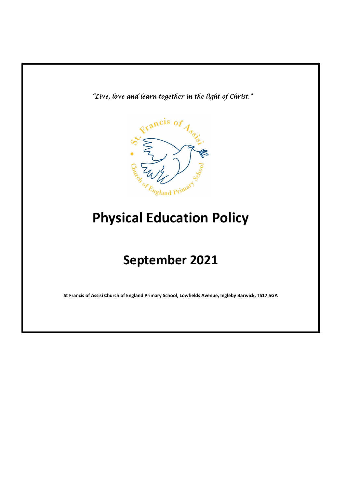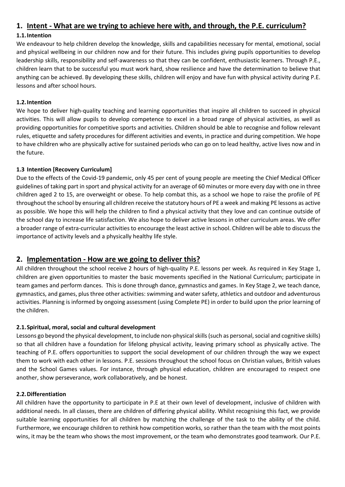# **1. Intent - What are we trying to achieve here with, and through, the P.E. curriculum?**

### **1.1.Intention**

We endeavour to help children develop the knowledge, skills and capabilities necessary for mental, emotional, social and physical wellbeing in our children now and for their future. This includes giving pupils opportunities to develop leadership skills, responsibility and self-awareness so that they can be confident, enthusiastic learners. Through P.E., children learn that to be successful you must work hard, show resilience and have the determination to believe that anything can be achieved. By developing these skills, children will enjoy and have fun with physical activity during P.E. lessons and after school hours.

### **1.2.Intention**

We hope to deliver high-quality teaching and learning opportunities that inspire all children to succeed in physical activities. This will allow pupils to develop competence to excel in a broad range of physical activities, as well as providing opportunities for competitive sports and activities. Children should be able to recognise and follow relevant rules, etiquette and safety procedures for different activities and events, in practice and during competition. We hope to have children who are physically active for sustained periods who can go on to lead healthy, active lives now and in the future.

### **1.3 Intention [Recovery Curriculum]**

Due to the effects of the Covid-19 pandemic, only 45 per cent of young people are meeting the Chief Medical Officer guidelines of taking part in sport and physical activity for an average of 60 minutes or more every day with one in three children aged 2 to 15, are overweight or obese. To help combat this, as a school we hope to raise the profile of PE throughout the school by ensuring all children receive the statutory hours of PE a week and making PE lessons as active as possible. We hope this will help the children to find a physical activity that they love and can continue outside of the school day to increase life satisfaction. We also hope to deliver active lessons in other curriculum areas. We offer a broader range of extra-curricular activities to encourage the least active in school. Children will be able to discuss the importance of activity levels and a physically healthy life style.

## **2. Implementation - How are we going to deliver this?**

All children throughout the school receive 2 hours of high-quality P.E. lessons per week. As required in Key Stage 1, children are given opportunities to master the basic movements specified in the National Curriculum; participate in team games and perform dances. This is done through dance, gymnastics and games. In Key Stage 2, we teach dance, gymnastics, and games, plus three other activities: swimming and water safety, athletics and outdoor and adventurous activities. Planning is informed by ongoing assessment (using Complete PE) in order to build upon the prior learning of the children.

### **2.1.Spiritual, moral, social and cultural development**

Lessons go beyond the physical development, to include non-physical skills (such as personal, social and cognitive skills) so that all children have a foundation for lifelong physical activity, leaving primary school as physically active. The teaching of P.E. offers opportunities to support the social development of our children through the way we expect them to work with each other in lessons. P.E. sessions throughout the school focus on Christian values, British values and the School Games values. For instance, through physical education, children are encouraged to respect one another, show perseverance, work collaboratively, and be honest.

### **2.2.Differentiation**

All children have the opportunity to participate in P.E at their own level of development, inclusive of children with additional needs. In all classes, there are children of differing physical ability. Whilst recognising this fact, we provide suitable learning opportunities for all children by matching the challenge of the task to the ability of the child. Furthermore, we encourage children to rethink how competition works, so rather than the team with the most points wins, it may be the team who shows the most improvement, or the team who demonstrates good teamwork. Our P.E.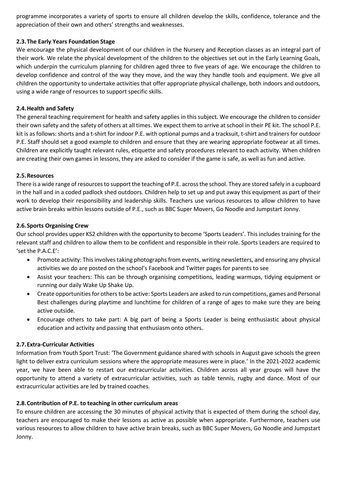programme incorporates a variety of sports to ensure all children develop the skills, confidence, tolerance and the appreciation of their own and others' strengths and weaknesses.

#### **2.3.The Early Years Foundation Stage**

We encourage the physical development of our children in the Nursery and Reception classes as an integral part of their work. We relate the physical development of the children to the objectives set out in the Early Learning Goals, which underpin the curriculum planning for children aged three to five years of age. We encourage the children to develop confidence and control of the way they move, and the way they handle tools and equipment. We give all children the opportunity to undertake activities that offer appropriate physical challenge, both indoors and outdoors, using a wide range of resources to support specific skills.

#### **2.4.Health and Safety**

The general teaching requirement for health and safety applies in this subject. We encourage the children to consider their own safety and the safety of others at all times. We expect them to arrive at school in their PE kit. The school P.E. kit is as follows: shorts and a t-shirt for indoor P.E. with optional pumps and a tracksuit, t-shirt and trainers for outdoor P.E. Staff should set a good example to children and ensure that they are wearing appropriate footwear at all times. Children are explicitly taught relevant rules, etiquette and safety procedures relevant to each activity. When children are creating their own games in lessons, they are asked to consider if the game is safe, as well as fun and active.

#### **2.5.Resources**

There is a wide range of resources to support the teaching of P.E. across the school. They are stored safely in a cupboard in the hall and in a coded padlock shed outdoors. Children help to set up and put away this equipment as part of their work to develop their responsibility and leadership skills. Teachers use various resources to allow children to have active brain breaks within lessons outside of P.E., such as BBC Super Movers, Go Noodle and Jumpstart Jonny.

#### **2.6.Sports Organising Crew**

Our school provides upper KS2 children with the opportunity to become 'Sports Leaders'. This includes training for the relevant staff and children to allow them to be confident and responsible in their role. Sports Leaders are required to 'set the P.A.C.E':

- Promote activity: This involves taking photographs from events, writing newsletters, and ensuring any physical activities we do are posted on the school's Facebook and Twitter pages for parents to see
- Assist your teachers: This can be through organising competitions, leading warmups, tidying equipment or running our daily Wake Up Shake Up.
- Create opportunities for others to be active: Sports Leaders are asked to run competitions, games and Personal Best challenges during playtime and lunchtime for children of a range of ages to make sure they are being active outside.
- Encourage others to take part: A big part of being a Sports Leader is being enthusiastic about physical education and activity and passing that enthusiasm onto others.

#### **2.7.Extra-Curricular Activities**

Information from Youth Sport Trust: 'The Government guidance shared with schools in August gave schools the green light to deliver extra curriculum sessions where the appropriate measures were in place.' In the 2021-2022 academic year, we have been able to restart our extracurricular activities. Children across all year groups will have the opportunity to attend a variety of extracurricular activities, such as table tennis, rugby and dance. Most of our extracurricular activities are led by trained coaches.

#### **2.8.Contribution of P.E. to teaching in other curriculum areas**

To ensure children are accessing the 30 minutes of physical activity that is expected of them during the school day, teachers are encouraged to make their lessons as active as possible when appropriate. Furthermore, teachers use various resources to allow children to have active brain breaks, such as BBC Super Movers, Go Noodle and Jumpstart Jonny.